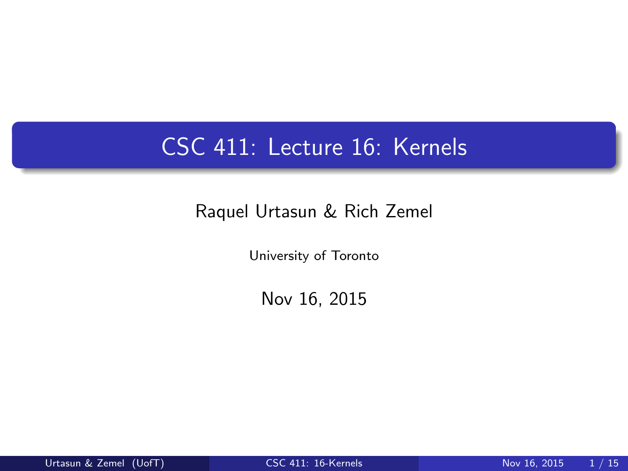# CSC 411: Lecture 16: Kernels

#### Raquel Urtasun & Rich Zemel

University of Toronto

<span id="page-0-0"></span>Nov 16, 2015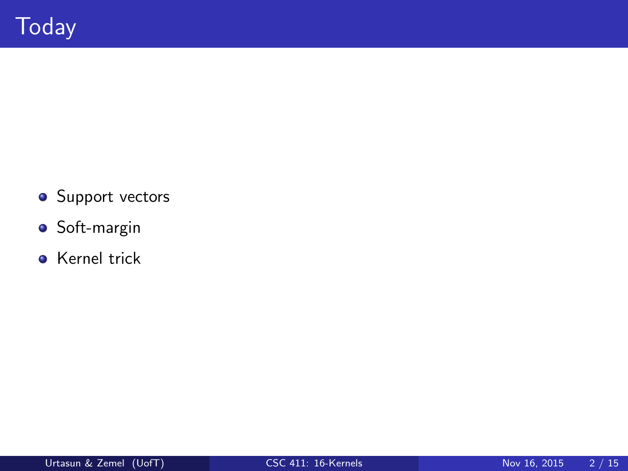- **•** Support vectors
- **·** Soft-margin
- **Kernel trick**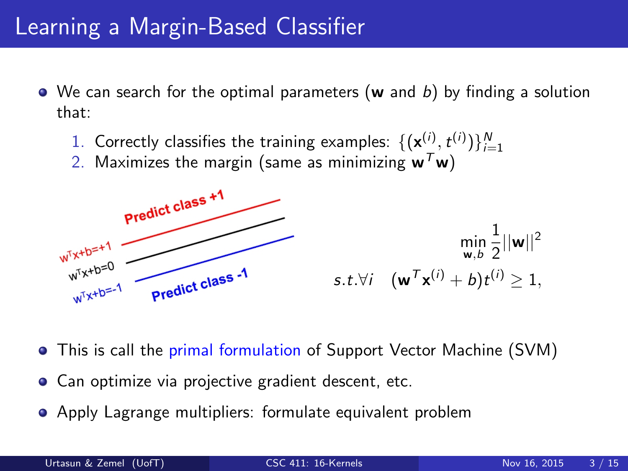## Learning a Margin-Based Classifier

- $\bullet$  We can search for the optimal parameters (w and b) by finding a solution that:
	- 1. Correctly classifies the training examples:  $\{(\mathbf{x}_{\bot}^{(i)}, t^{(i)})\}_{i=1}^N$
	- 2. Maximizes the margin (same as minimizing  $w^T w$ )



- This is call the primal formulation of Support Vector Machine (SVM)
- Can optimize via projective gradient descent, etc.
- Apply Lagrange multipliers: formulate equivalent problem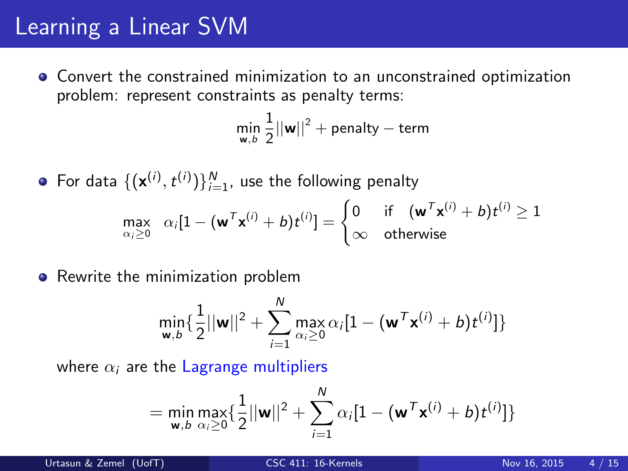## Learning a Linear SVM

Convert the constrained minimization to an unconstrained optimization problem: represent constraints as penalty terms:

$$
\min_{\mathbf{w},b}\frac{1}{2}||\mathbf{w}||^2 + \text{penalty} - \text{term}
$$

For data  $\{(\mathbf{x}^{(i)}, t^{(i)})\}_{i=1}^N$ , use the following penalty  $\max_{\alpha_i\geq 0} \alpha_i[1-(\mathbf{w}^T\mathbf{x}^{(i)}+b)t^{(i)}]=\begin{cases} 0 & \text{if} \quad (\mathbf{w}^T\mathbf{x}^{(i)}+b)t^{(i)}\geq 1\ \infty & \text{otherwise} \end{cases}$  $\infty$  otherwise

• Rewrite the minimization problem

$$
\min_{\mathbf{w},b}\{\frac{1}{2}||\mathbf{w}||^2 + \sum_{i=1}^N \max_{\alpha_i\geq 0} \alpha_i[1 - (\mathbf{w}^T\mathbf{x}^{(i)} + b)t^{(i)}]\}
$$

where  $\alpha_i$  are the Lagrange multipliers

$$
= \min_{\mathbf{w},b} \max_{\alpha_i \geq 0} \{ \frac{1}{2} ||\mathbf{w}||^2 + \sum_{i=1}^N \alpha_i [1 - (\mathbf{w}^T \mathbf{x}^{(i)} + b) t^{(i)}] \}
$$

Urtasun & Zemel (UofT) [CSC 411: 16-Kernels](#page-0-0) Nov 16, 2015 4 / 15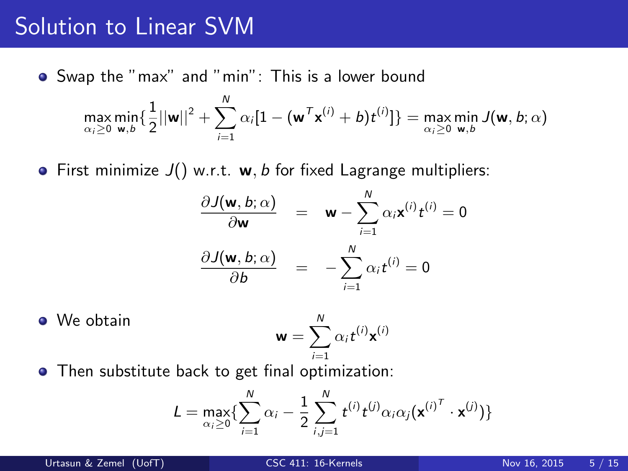### Solution to Linear SVM

Swap the "max" and "min": This is a lower bound

$$
\max_{\alpha_i \geq 0} \min_{\mathbf{w}, b} \{ \frac{1}{2} ||\mathbf{w}||^2 + \sum_{i=1}^N \alpha_i [1 - (\mathbf{w}^T \mathbf{x}^{(i)} + b) t^{(i)}] \} = \max_{\alpha_i \geq 0} \min_{\mathbf{w}, b} J(\mathbf{w}, b; \alpha)
$$

• First minimize  $J()$  w.r.t. w, b for fixed Lagrange multipliers:

$$
\frac{\partial J(\mathbf{w}, b; \alpha)}{\partial \mathbf{w}} = \mathbf{w} - \sum_{i=1}^{N} \alpha_i \mathbf{x}^{(i)} t^{(i)} = 0
$$

$$
\frac{\partial J(\mathbf{w}, b; \alpha)}{\partial b} = - \sum_{i=1}^{N} \alpha_i t^{(i)} = 0
$$

- **•** We obtain  $w = \sum_{n=1}^{N}$  $i=1$  $\alpha_i t^{(i)} \mathbf{x}^{(i)}$
- **•** Then substitute back to get final optimization:

$$
L = \max_{\alpha_i \geq 0} \{ \sum_{i=1}^N \alpha_i - \frac{1}{2} \sum_{i,j=1}^N t^{(i)} t^{(j)} \alpha_i \alpha_j (\mathbf{x}^{(i)^T} \cdot \mathbf{x}^{(j)}) \}
$$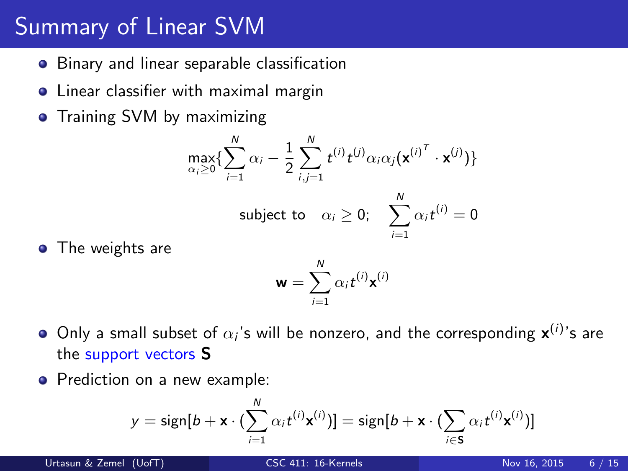# Summary of Linear SVM

- **•** Binary and linear separable classification
- **•** Linear classifier with maximal margin
- **•** Training SVM by maximizing

$$
\max_{\alpha_i \geq 0} \{ \sum_{i=1}^N \alpha_i - \frac{1}{2} \sum_{i,j=1}^N t^{(i)} t^{(j)} \alpha_i \alpha_j (\mathbf{x}^{(i)^T} \cdot \mathbf{x}^{(j)}) \}
$$
  
subject to  $\alpha_i \geq 0$ ;  $\sum_{i=1}^N \alpha_i t^{(i)} = 0$ 

• The weights are

$$
\mathbf{w} = \sum_{i=1}^N \alpha_i t^{(i)} \mathbf{x}^{(i)}
$$

 $i=1$ 

- Only a small subset of  $\alpha_i$ 's will be nonzero, and the corresponding  $\mathbf{x}^{(i)}$ 's are the support vectors S
- Prediction on a new example:

$$
y = sign[b + \mathbf{x} \cdot (\sum_{i=1}^{N} \alpha_i t^{(i)} \mathbf{x}^{(i)})] = sign[b + \mathbf{x} \cdot (\sum_{i \in S} \alpha_i t^{(i)} \mathbf{x}^{(i)})]
$$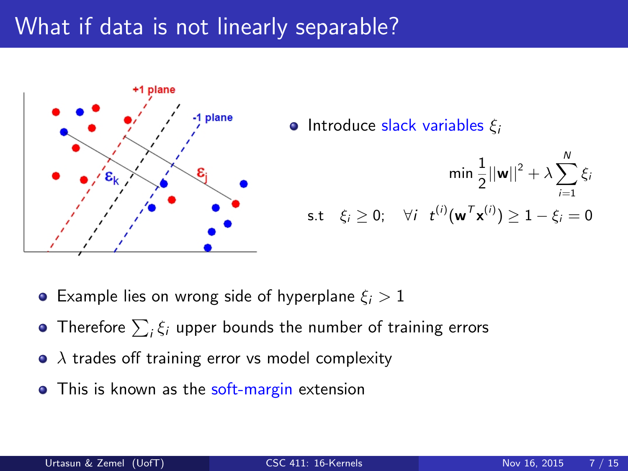# What if data is not linearly separable?



• Introduce slack variables  $\xi_i$ 

$$
\min \frac{1}{2} ||\mathbf{w}||^2 + \lambda \sum_{i=1}^N \xi_i
$$
  
s.t  $\xi_i \geq 0$ ;  $\forall i \quad t^{(i)} (\mathbf{w}^T \mathbf{x}^{(i)}) \geq 1 - \xi_i = 0$ 

- **Example lies on wrong side of hyperplane**  $\xi_i > 1$
- Therefore  $\sum_i \xi_i$  upper bounds the number of training errors
- $\bullet$   $\lambda$  trades off training error vs model complexity
- This is known as the soft-margin extension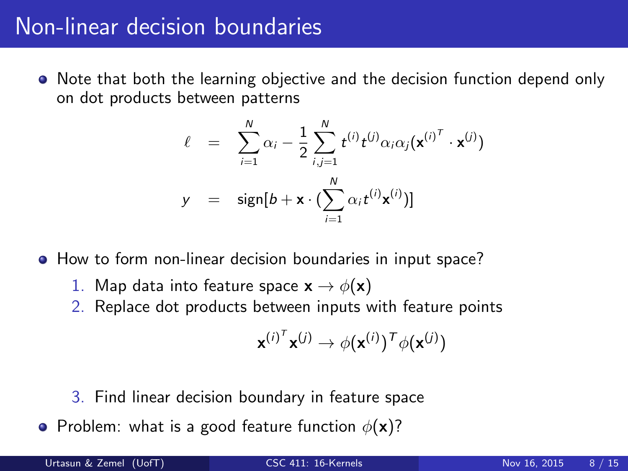## Non-linear decision boundaries

• Note that both the learning objective and the decision function depend only on dot products between patterns

$$
\ell = \sum_{i=1}^{N} \alpha_i - \frac{1}{2} \sum_{i,j=1}^{N} t^{(i)} t^{(j)} \alpha_i \alpha_j (\mathbf{x}^{(i)^T} \cdot \mathbf{x}^{(j)})
$$

$$
y = \text{sign}[b + \mathbf{x} \cdot (\sum_{i=1}^{N} \alpha_i t^{(i)} \mathbf{x}^{(i)})]
$$

How to form non-linear decision boundaries in input space?

- 1. Map data into feature space  $\mathbf{x} \rightarrow \phi(\mathbf{x})$
- 2. Replace dot products between inputs with feature points

$$
\mathbf{x}^{(i)^T}\mathbf{x}^{(j)} \rightarrow \phi(\mathbf{x}^{(i)})^T\phi(\mathbf{x}^{(j)})
$$

- 3. Find linear decision boundary in feature space
- Problem: what is a good feature function  $\phi(\mathbf{x})$ ?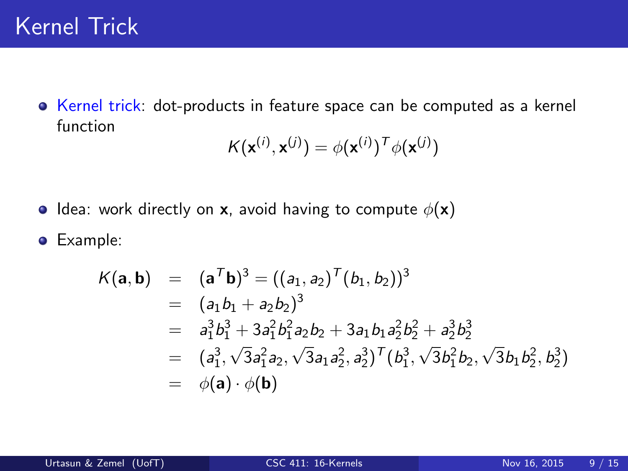Kernel trick: dot-products in feature space can be computed as a kernel function

$$
K(\mathbf{x}^{(i)}, \mathbf{x}^{(j)}) = \phi(\mathbf{x}^{(i)})^T \phi(\mathbf{x}^{(j)})
$$

- **I** Idea: work directly on **x**, avoid having to compute  $\phi(\mathbf{x})$
- **•** Example:

$$
K(\mathbf{a}, \mathbf{b}) = (\mathbf{a}^T \mathbf{b})^3 = ((a_1, a_2)^T (b_1, b_2))^3
$$
  
=  $(a_1b_1 + a_2b_2)^3$   
=  $a_1^3b_1^3 + 3a_1^2b_1^2a_2b_2 + 3a_1b_1a_2^2b_2^2 + a_2^3b_2^3$   
=  $(a_1^3, \sqrt{3}a_1^2a_2, \sqrt{3}a_1a_2^2, a_2^3)^T (b_1^3, \sqrt{3}b_1^2b_2, \sqrt{3}b_1b_2^2, b_2^3)$   
=  $\phi(\mathbf{a}) \cdot \phi(\mathbf{b})$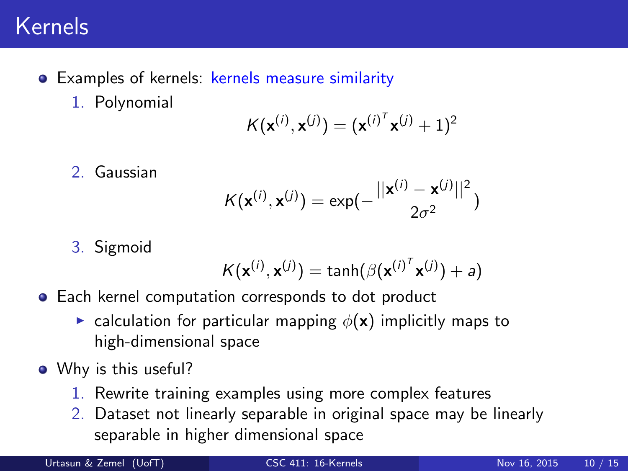## Kernels

- Examples of kernels: kernels measure similarity
	- 1. Polynomial

$$
K(\mathbf{x}^{(i)}, \mathbf{x}^{(j)}) = (\mathbf{x}^{(i)^T} \mathbf{x}^{(j)} + 1)^2
$$

2. Gaussian

$$
K(\mathbf{x}^{(i)}, \mathbf{x}^{(j)}) = \exp(-\frac{||\mathbf{x}^{(i)} - \mathbf{x}^{(j)}||^2}{2\sigma^2})
$$

3. Sigmoid

$$
K(\mathbf{x}^{(i)}, \mathbf{x}^{(j)}) = \tanh(\beta {(\mathbf{x}^{(i)}}^{\mathsf{T}} \mathbf{x}^{(j)}) + a)
$$

- **•** Each kernel computation corresponds to dot product
	- **Example 1** calculation for particular mapping  $\phi(\mathbf{x})$  implicitly maps to high-dimensional space
- Why is this useful?
	- 1. Rewrite training examples using more complex features
	- 2. Dataset not linearly separable in original space may be linearly separable in higher dimensional space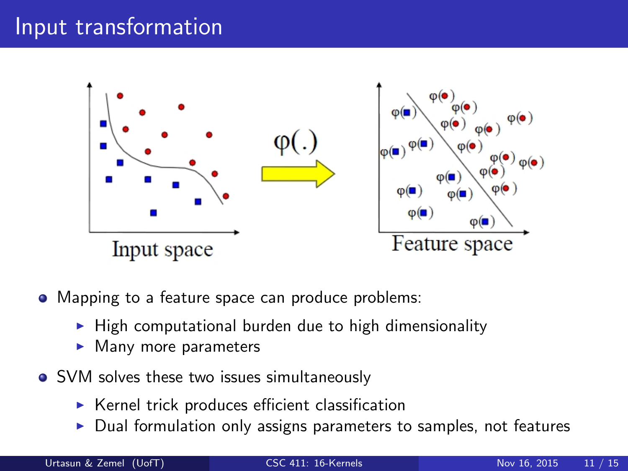## Input transformation



- Mapping to a feature space can produce problems:
	- $\blacktriangleright$  High computational burden due to high dimensionality
	- $\blacktriangleright$  Many more parameters
- SVM solves these two issues simultaneously
	- $\triangleright$  Kernel trick produces efficient classification
	- $\triangleright$  Dual formulation only assigns parameters to samples, not features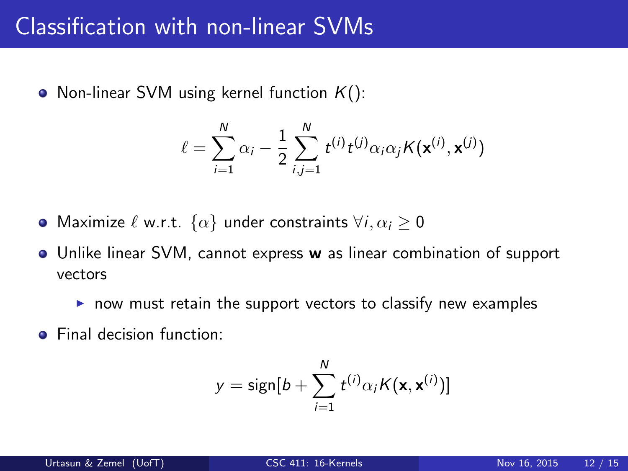### Classification with non-linear SVMs

• Non-linear SVM using kernel function  $K()$ :

$$
\ell = \sum_{i=1}^{N} \alpha_i - \frac{1}{2} \sum_{i,j=1}^{N} t^{(i)} t^{(j)} \alpha_i \alpha_j K(\mathbf{x}^{(i)}, \mathbf{x}^{(j)})
$$

- Maximize  $\ell$  w.r.t.  $\{\alpha\}$  under constraints  $\forall i, \alpha_i \geq 0$
- Unlike linear SVM, cannot express w as linear combination of support vectors
	- $\triangleright$  now must retain the support vectors to classify new examples
- **•** Final decision function:

$$
y = \text{sign}[b + \sum_{i=1}^{N} t^{(i)} \alpha_i K(\mathbf{x}, \mathbf{x}^{(i)})]
$$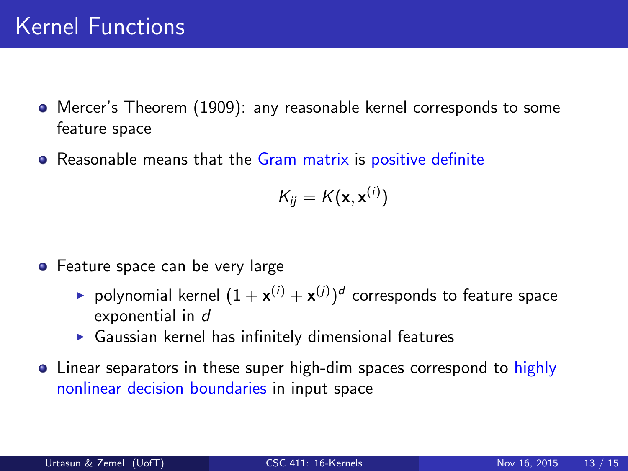- Mercer's Theorem (1909): any reasonable kernel corresponds to some feature space
- **•** Reasonable means that the Gram matrix is positive definite

$$
K_{ij} = K(\mathbf{x}, \mathbf{x}^{(i)})
$$

- **•** Feature space can be very large
	- $\blacktriangleright$  polynomial kernel  $(1+\mathbf{x}^{(i)}+\mathbf{x}^{(j)})^d$  corresponds to feature space exponential in d
	- $\triangleright$  Gaussian kernel has infinitely dimensional features
- Linear separators in these super high-dim spaces correspond to highly nonlinear decision boundaries in input space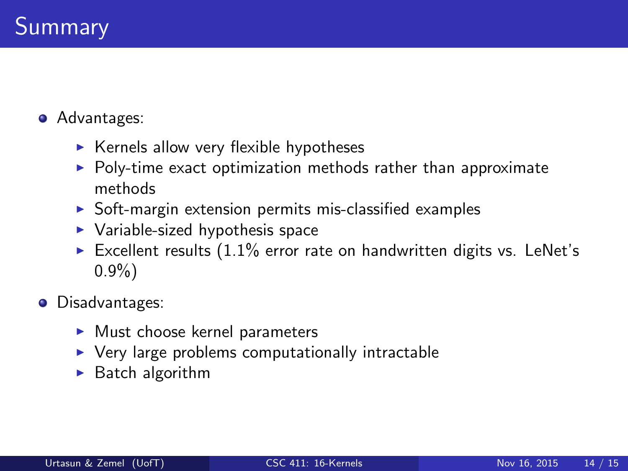- **•** Advantages:
	- $\triangleright$  Kernels allow very flexible hypotheses
	- $\triangleright$  Poly-time exact optimization methods rather than approximate methods
	- $\triangleright$  Soft-margin extension permits mis-classified examples
	- $\blacktriangleright$  Variable-sized hypothesis space
	- Excellent results  $(1.1\%$  error rate on handwritten digits vs. LeNet's 0.9%)
- **O** Disadvantages:
	- $\blacktriangleright$  Must choose kernel parameters
	- $\triangleright$  Very large problems computationally intractable
	- $\blacktriangleright$  Batch algorithm